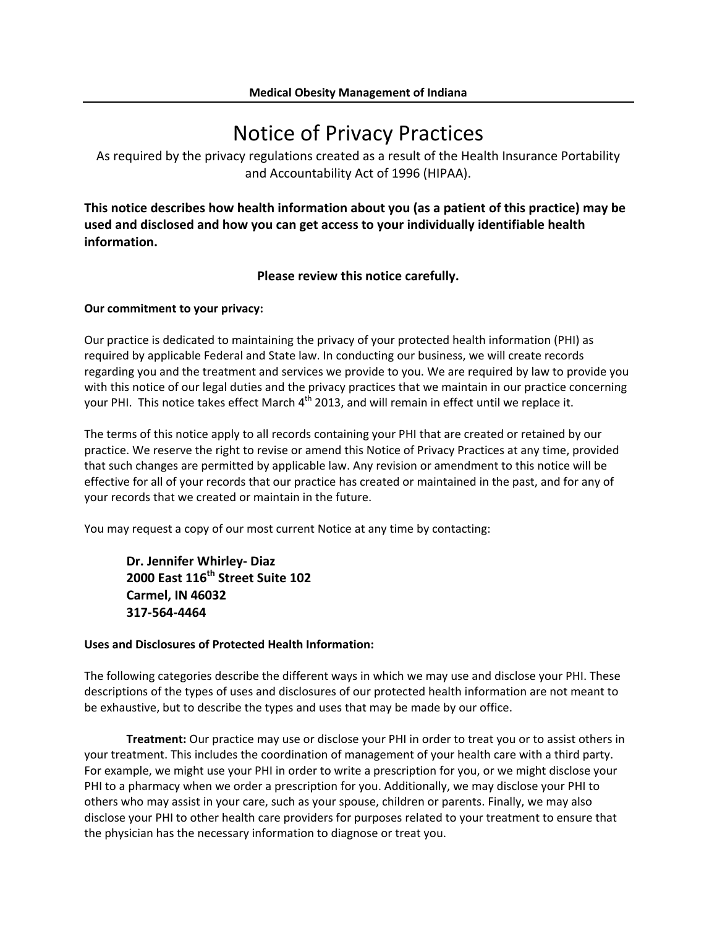# Notice of Privacy Practices

As required by the privacy regulations created as a result of the Health Insurance Portability and Accountability Act of 1996 (HIPAA).

**This notice describes how health information about you (as a patient of this practice) may be used and disclosed and how you can get access to your individually identifiable health information.**

## **Please review this notice carefully.**

### **Our commitment to your privacy:**

Our practice is dedicated to maintaining the privacy of your protected health information (PHI) as required by applicable Federal and State law. In conducting our business, we will create records regarding you and the treatment and services we provide to you. We are required by law to provide you with this notice of our legal duties and the privacy practices that we maintain in our practice concerning your PHI. This notice takes effect March  $4<sup>th</sup>$  2013, and will remain in effect until we replace it.

The terms of this notice apply to all records containing your PHI that are created or retained by our practice. We reserve the right to revise or amend this Notice of Privacy Practices at any time, provided that such changes are permitted by applicable law. Any revision or amendment to this notice will be effective for all of your records that our practice has created or maintained in the past, and for any of your records that we created or maintain in the future.

You may request a copy of our most current Notice at any time by contacting:

**Dr. Jennifer Whirley‐ Diaz 2000 East 116th Street Suite 102 Carmel, IN 46032 317‐564‐4464**

## **Uses and Disclosures of Protected Health Information:**

The following categories describe the different ways in which we may use and disclose your PHI. These descriptions of the types of uses and disclosures of our protected health information are not meant to be exhaustive, but to describe the types and uses that may be made by our office.

**Treatment:** Our practice may use or disclose your PHI in order to treat you or to assist others in your treatment. This includes the coordination of management of your health care with a third party. For example, we might use your PHI in order to write a prescription for you, or we might disclose your PHI to a pharmacy when we order a prescription for you. Additionally, we may disclose your PHI to others who may assist in your care, such as your spouse, children or parents. Finally, we may also disclose your PHI to other health care providers for purposes related to your treatment to ensure that the physician has the necessary information to diagnose or treat you.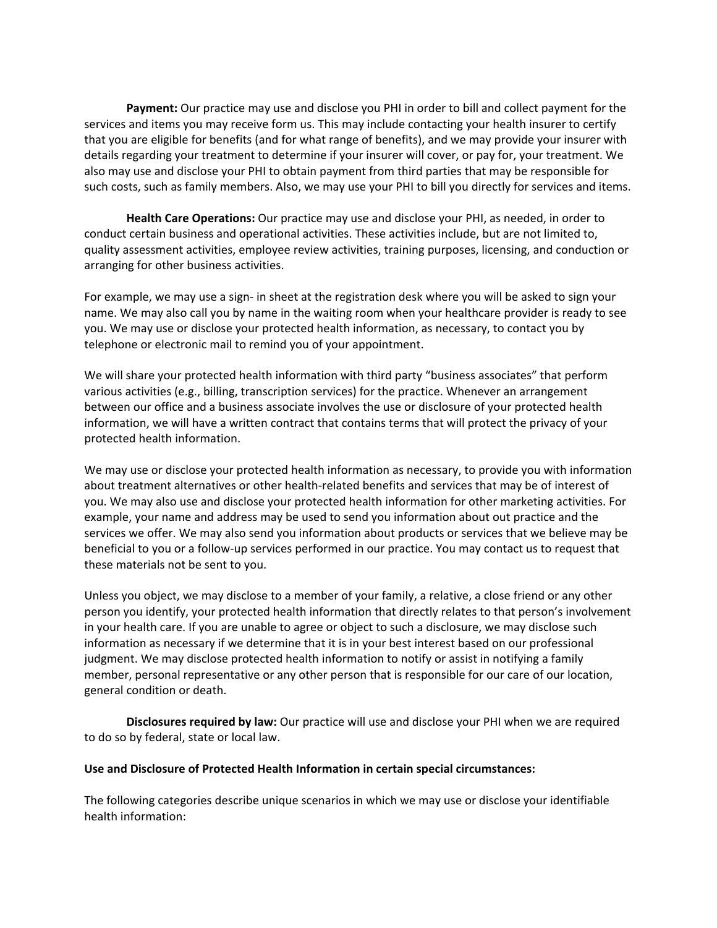**Payment:** Our practice may use and disclose you PHI in order to bill and collect payment for the services and items you may receive form us. This may include contacting your health insurer to certify that you are eligible for benefits (and for what range of benefits), and we may provide your insurer with details regarding your treatment to determine if your insurer will cover, or pay for, your treatment. We also may use and disclose your PHI to obtain payment from third parties that may be responsible for such costs, such as family members. Also, we may use your PHI to bill you directly for services and items.

**Health Care Operations:** Our practice may use and disclose your PHI, as needed, in order to conduct certain business and operational activities. These activities include, but are not limited to, quality assessment activities, employee review activities, training purposes, licensing, and conduction or arranging for other business activities.

For example, we may use a sign‐ in sheet at the registration desk where you will be asked to sign your name. We may also call you by name in the waiting room when your healthcare provider is ready to see you. We may use or disclose your protected health information, as necessary, to contact you by telephone or electronic mail to remind you of your appointment.

We will share your protected health information with third party "business associates" that perform various activities (e.g., billing, transcription services) for the practice. Whenever an arrangement between our office and a business associate involves the use or disclosure of your protected health information, we will have a written contract that contains terms that will protect the privacy of your protected health information.

We may use or disclose your protected health information as necessary, to provide you with information about treatment alternatives or other health-related benefits and services that may be of interest of you. We may also use and disclose your protected health information for other marketing activities. For example, your name and address may be used to send you information about out practice and the services we offer. We may also send you information about products or services that we believe may be beneficial to you or a follow-up services performed in our practice. You may contact us to request that these materials not be sent to you.

Unless you object, we may disclose to a member of your family, a relative, a close friend or any other person you identify, your protected health information that directly relates to that person's involvement in your health care. If you are unable to agree or object to such a disclosure, we may disclose such information as necessary if we determine that it is in your best interest based on our professional judgment. We may disclose protected health information to notify or assist in notifying a family member, personal representative or any other person that is responsible for our care of our location, general condition or death.

**Disclosures required by law:** Our practice will use and disclose your PHI when we are required to do so by federal, state or local law.

#### **Use and Disclosure of Protected Health Information in certain special circumstances:**

The following categories describe unique scenarios in which we may use or disclose your identifiable health information: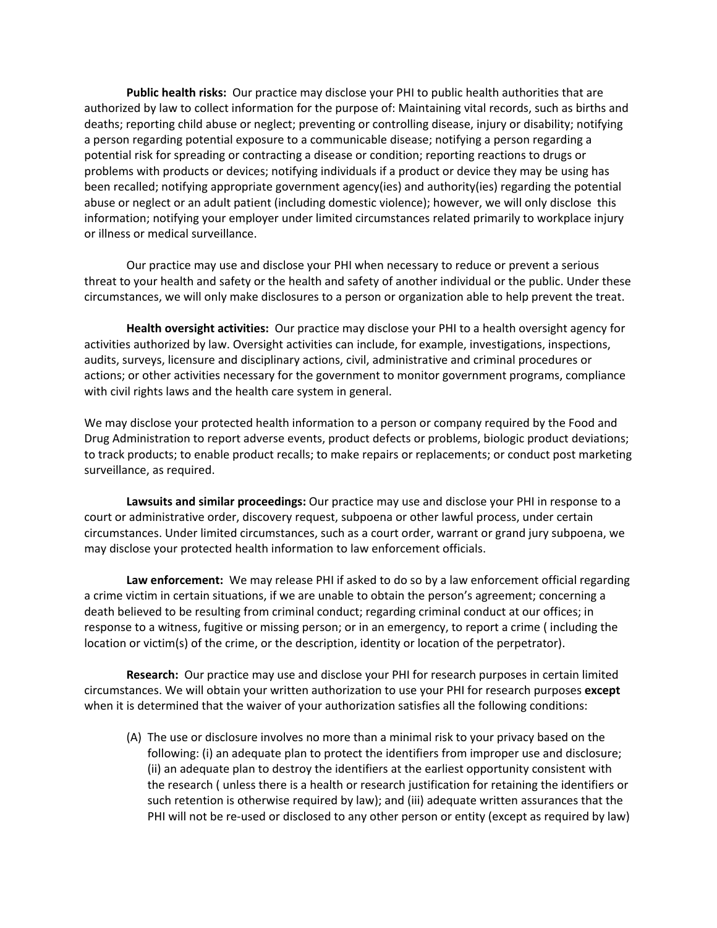**Public health risks:** Our practice may disclose your PHI to public health authorities that are authorized by law to collect information for the purpose of: Maintaining vital records, such as births and deaths; reporting child abuse or neglect; preventing or controlling disease, injury or disability; notifying a person regarding potential exposure to a communicable disease; notifying a person regarding a potential risk for spreading or contracting a disease or condition; reporting reactions to drugs or problems with products or devices; notifying individuals if a product or device they may be using has been recalled; notifying appropriate government agency(ies) and authority(ies) regarding the potential abuse or neglect or an adult patient (including domestic violence); however, we will only disclose this information; notifying your employer under limited circumstances related primarily to workplace injury or illness or medical surveillance.

Our practice may use and disclose your PHI when necessary to reduce or prevent a serious threat to your health and safety or the health and safety of another individual or the public. Under these circumstances, we will only make disclosures to a person or organization able to help prevent the treat.

**Health oversight activities:** Our practice may disclose your PHI to a health oversight agency for activities authorized by law. Oversight activities can include, for example, investigations, inspections, audits, surveys, licensure and disciplinary actions, civil, administrative and criminal procedures or actions; or other activities necessary for the government to monitor government programs, compliance with civil rights laws and the health care system in general.

We may disclose your protected health information to a person or company required by the Food and Drug Administration to report adverse events, product defects or problems, biologic product deviations; to track products; to enable product recalls; to make repairs or replacements; or conduct post marketing surveillance, as required.

**Lawsuits and similar proceedings:** Our practice may use and disclose your PHI in response to a court or administrative order, discovery request, subpoena or other lawful process, under certain circumstances. Under limited circumstances, such as a court order, warrant or grand jury subpoena, we may disclose your protected health information to law enforcement officials.

**Law enforcement:** We may release PHI if asked to do so by a law enforcement official regarding a crime victim in certain situations, if we are unable to obtain the person's agreement; concerning a death believed to be resulting from criminal conduct; regarding criminal conduct at our offices; in response to a witness, fugitive or missing person; or in an emergency, to report a crime ( including the location or victim(s) of the crime, or the description, identity or location of the perpetrator).

**Research:** Our practice may use and disclose your PHI for research purposes in certain limited circumstances. We will obtain your written authorization to use your PHI for research purposes **except** when it is determined that the waiver of your authorization satisfies all the following conditions:

(A) The use or disclosure involves no more than a minimal risk to your privacy based on the following: (i) an adequate plan to protect the identifiers from improper use and disclosure; (ii) an adequate plan to destroy the identifiers at the earliest opportunity consistent with the research ( unless there is a health or research justification for retaining the identifiers or such retention is otherwise required by law); and (iii) adequate written assurances that the PHI will not be re‐used or disclosed to any other person or entity (except as required by law)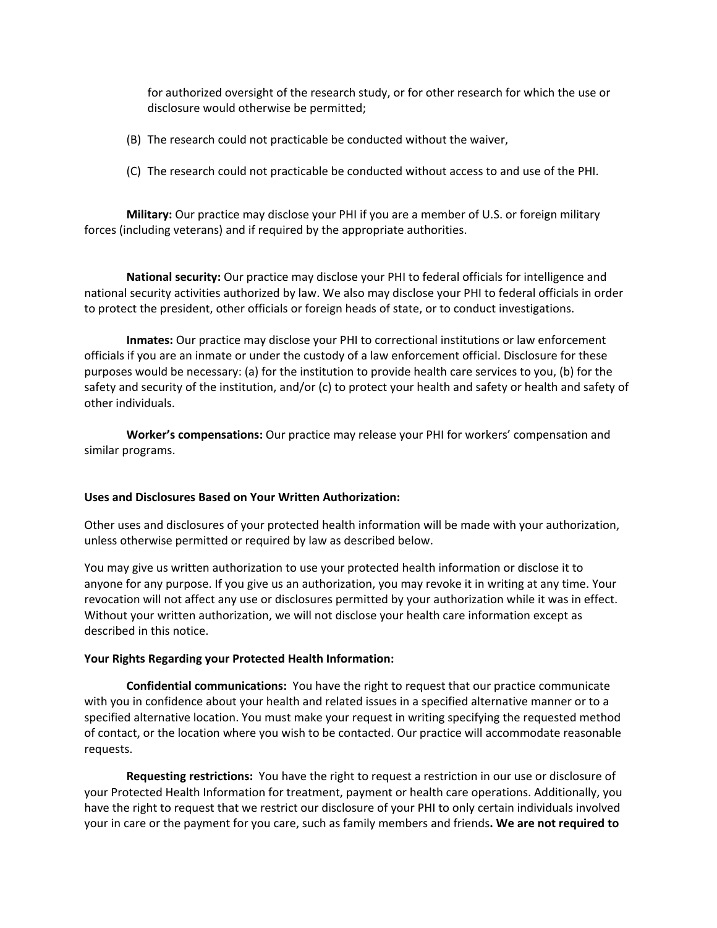for authorized oversight of the research study, or for other research for which the use or disclosure would otherwise be permitted;

- (B) The research could not practicable be conducted without the waiver,
- (C) The research could not practicable be conducted without access to and use of the PHI.

**Military:** Our practice may disclose your PHI if you are a member of U.S. or foreign military forces (including veterans) and if required by the appropriate authorities.

**National security:** Our practice may disclose your PHI to federal officials for intelligence and national security activities authorized by law. We also may disclose your PHI to federal officials in order to protect the president, other officials or foreign heads of state, or to conduct investigations.

**Inmates:** Our practice may disclose your PHI to correctional institutions or law enforcement officials if you are an inmate or under the custody of a law enforcement official. Disclosure for these purposes would be necessary: (a) for the institution to provide health care services to you, (b) for the safety and security of the institution, and/or (c) to protect your health and safety or health and safety of other individuals.

**Worker's compensations:** Our practice may release your PHI for workers' compensation and similar programs.

#### **Uses and Disclosures Based on Your Written Authorization:**

Other uses and disclosures of your protected health information will be made with your authorization, unless otherwise permitted or required by law as described below.

You may give us written authorization to use your protected health information or disclose it to anyone for any purpose. If you give us an authorization, you may revoke it in writing at any time. Your revocation will not affect any use or disclosures permitted by your authorization while it was in effect. Without your written authorization, we will not disclose your health care information except as described in this notice.

#### **Your Rights Regarding your Protected Health Information:**

**Confidential communications:** You have the right to request that our practice communicate with you in confidence about your health and related issues in a specified alternative manner or to a specified alternative location. You must make your request in writing specifying the requested method of contact, or the location where you wish to be contacted. Our practice will accommodate reasonable requests.

**Requesting restrictions:** You have the right to request a restriction in our use or disclosure of your Protected Health Information for treatment, payment or health care operations. Additionally, you have the right to request that we restrict our disclosure of your PHI to only certain individuals involved your in care or the payment for you care, such as family members and friends**. We are not required to**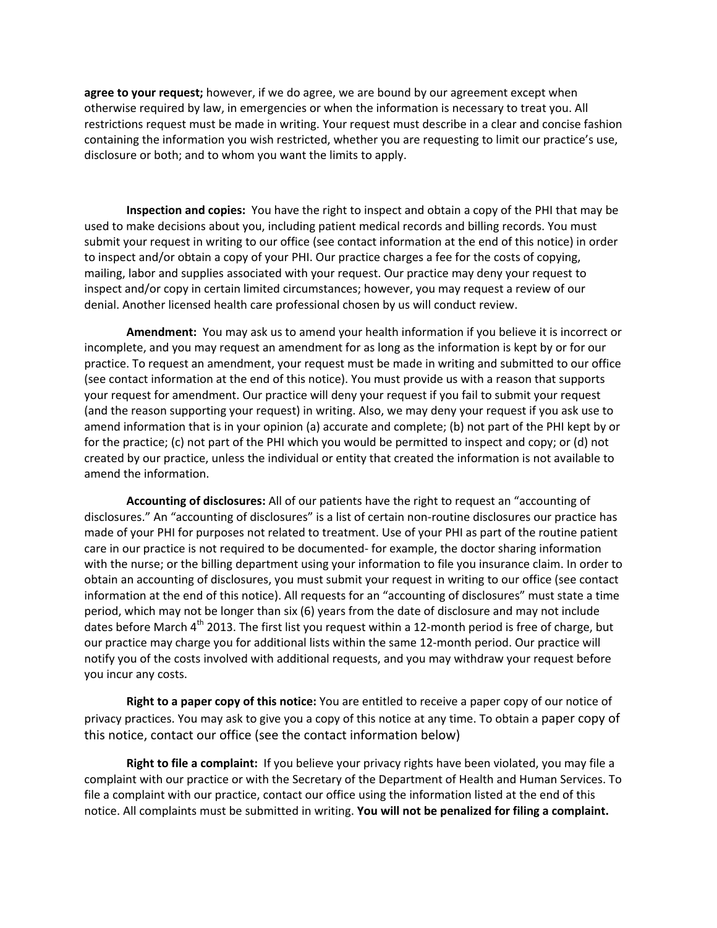**agree to your request;** however, if we do agree, we are bound by our agreement except when otherwise required by law, in emergencies or when the information is necessary to treat you. All restrictions request must be made in writing. Your request must describe in a clear and concise fashion containing the information you wish restricted, whether you are requesting to limit our practice's use, disclosure or both; and to whom you want the limits to apply.

**Inspection and copies:** You have the right to inspect and obtain a copy of the PHI that may be used to make decisions about you, including patient medical records and billing records. You must submit your request in writing to our office (see contact information at the end of this notice) in order to inspect and/or obtain a copy of your PHI. Our practice charges a fee for the costs of copying, mailing, labor and supplies associated with your request. Our practice may deny your request to inspect and/or copy in certain limited circumstances; however, you may request a review of our denial. Another licensed health care professional chosen by us will conduct review.

**Amendment:** You may ask us to amend your health information if you believe it is incorrect or incomplete, and you may request an amendment for as long as the information is kept by or for our practice. To request an amendment, your request must be made in writing and submitted to our office (see contact information at the end of this notice). You must provide us with a reason that supports your request for amendment. Our practice will deny your request if you fail to submit your request (and the reason supporting your request) in writing. Also, we may deny your request if you ask use to amend information that is in your opinion (a) accurate and complete; (b) not part of the PHI kept by or for the practice; (c) not part of the PHI which you would be permitted to inspect and copy; or (d) not created by our practice, unless the individual or entity that created the information is not available to amend the information.

**Accounting of disclosures:** All of our patients have the right to request an "accounting of disclosures." An "accounting of disclosures" is a list of certain non‐routine disclosures our practice has made of your PHI for purposes not related to treatment. Use of your PHI as part of the routine patient care in our practice is not required to be documented‐ for example, the doctor sharing information with the nurse; or the billing department using your information to file you insurance claim. In order to obtain an accounting of disclosures, you must submit your request in writing to our office (see contact information at the end of this notice). All requests for an "accounting of disclosures" must state a time period, which may not be longer than six (6) years from the date of disclosure and may not include dates before March  $4<sup>th</sup>$  2013. The first list you request within a 12-month period is free of charge, but our practice may charge you for additional lists within the same 12‐month period. Our practice will notify you of the costs involved with additional requests, and you may withdraw your request before you incur any costs.

**Right to a paper copy of this notice:** You are entitled to receive a paper copy of our notice of privacy practices. You may ask to give you a copy of this notice at any time. To obtain a paper copy of this notice, contact our office (see the contact information below)

**Right to file a complaint:** If you believe your privacy rights have been violated, you may file a complaint with our practice or with the Secretary of the Department of Health and Human Services. To file a complaint with our practice, contact our office using the information listed at the end of this notice. All complaints must be submitted in writing. **You will not be penalized for filing a complaint.**